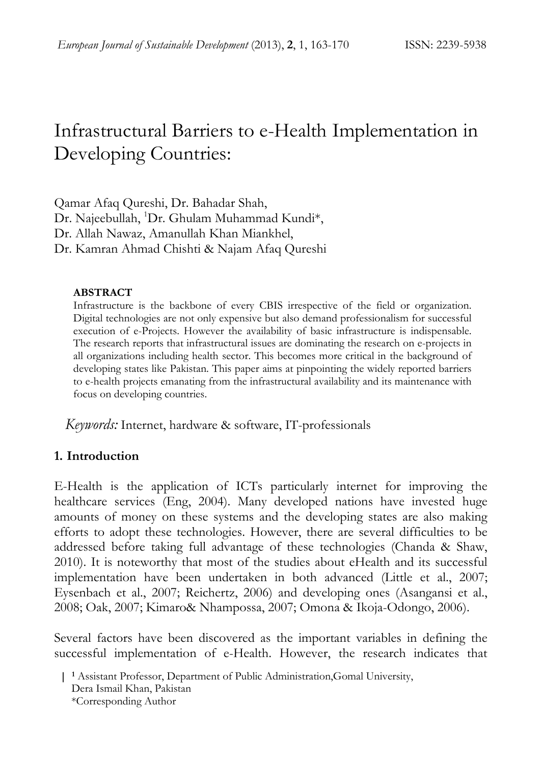# Infrastructural Barriers to e-Health Implementation in Developing Countries:

Qamar Afaq Qureshi, Dr. Bahadar Shah, Dr. Najeebullah, <sup>1</sup>Dr. Ghulam Muhammad Kundi\*, Dr. Allah Nawaz, Amanullah Khan Miankhel, Dr. Kamran Ahmad Chishti & Najam Afaq Qureshi

#### **ABSTRACT**

Infrastructure is the backbone of every CBIS irrespective of the field or organization. Digital technologies are not only expensive but also demand professionalism for successful execution of e-Projects. However the availability of basic infrastructure is indispensable. The research reports that infrastructural issues are dominating the research on e-projects in all organizations including health sector. This becomes more critical in the background of developing states like Pakistan. This paper aims at pinpointing the widely reported barriers to e-health projects emanating from the infrastructural availability and its maintenance with focus on developing countries.

 *Keywords:* Internet, hardware & software, IT-professionals

## **1. Introduction**

E-Health is the application of ICTs particularly internet for improving the healthcare services (Eng, 2004). Many developed nations have invested huge amounts of money on these systems and the developing states are also making efforts to adopt these technologies. However, there are several difficulties to be addressed before taking full advantage of these technologies (Chanda & Shaw, 2010). It is noteworthy that most of the studies about eHealth and its successful implementation have been undertaken in both advanced (Little et al., 2007; Eysenbach et al., 2007; Reichertz, 2006) and developing ones (Asangansi et al., 2008; Oak, 2007; Kimaro& Nhampossa, 2007; Omona & Ikoja-Odongo, 2006).

Several factors have been discovered as the important variables in defining the successful implementation of e-Health. However, the research indicates that

 **<sup>| 1</sup>** Assistant Professor, Department of Public Administration,Gomal University, Dera Ismail Khan, Pakistan \*Corresponding Author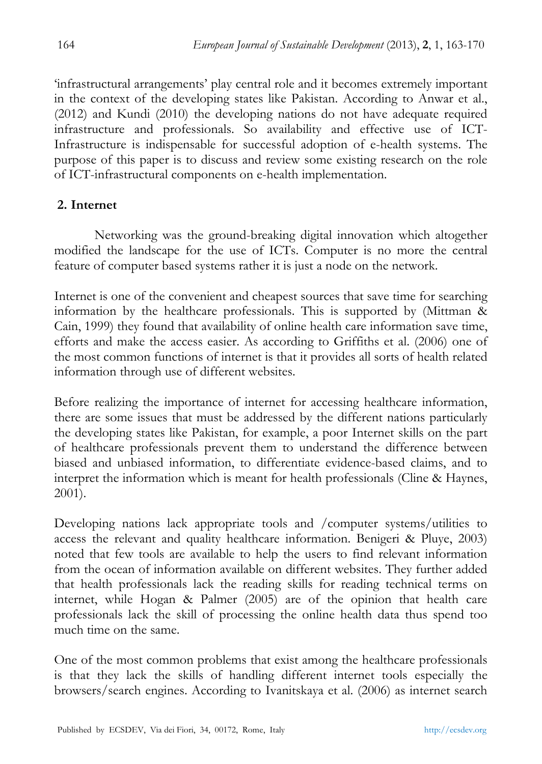'infrastructural arrangements' play central role and it becomes extremely important in the context of the developing states like Pakistan. According to Anwar et al., (2012) and Kundi (2010) the developing nations do not have adequate required infrastructure and professionals. So availability and effective use of ICT-Infrastructure is indispensable for successful adoption of e-health systems. The purpose of this paper is to discuss and review some existing research on the role of ICT-infrastructural components on e-health implementation.

## **2. Internet**

Networking was the ground-breaking digital innovation which altogether modified the landscape for the use of ICTs. Computer is no more the central feature of computer based systems rather it is just a node on the network.

Internet is one of the convenient and cheapest sources that save time for searching information by the healthcare professionals. This is supported by (Mittman & Cain, 1999) they found that availability of online health care information save time, efforts and make the access easier. As according to Griffiths et al. (2006) one of the most common functions of internet is that it provides all sorts of health related information through use of different websites.

Before realizing the importance of internet for accessing healthcare information, there are some issues that must be addressed by the different nations particularly the developing states like Pakistan, for example, a poor Internet skills on the part of healthcare professionals prevent them to understand the difference between biased and unbiased information, to differentiate evidence-based claims, and to interpret the information which is meant for health professionals (Cline & Haynes, 2001).

Developing nations lack appropriate tools and /computer systems/utilities to access the relevant and quality healthcare information. Benigeri & Pluye, 2003) noted that few tools are available to help the users to find relevant information from the ocean of information available on different websites. They further added that health professionals lack the reading skills for reading technical terms on internet, while Hogan & Palmer (2005) are of the opinion that health care professionals lack the skill of processing the online health data thus spend too much time on the same.

One of the most common problems that exist among the healthcare professionals is that they lack the skills of handling different internet tools especially the browsers/search engines. According to Ivanitskaya et al. (2006) as internet search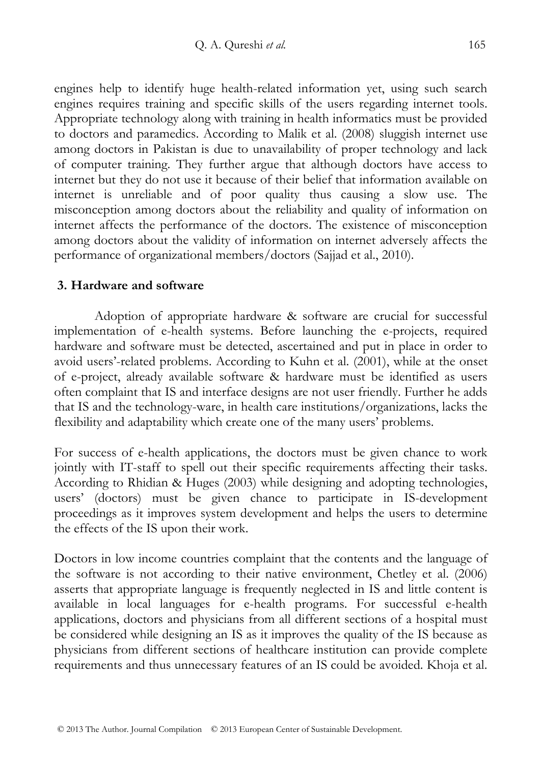engines help to identify huge health-related information yet, using such search engines requires training and specific skills of the users regarding internet tools. Appropriate technology along with training in health informatics must be provided to doctors and paramedics. According to Malik et al. (2008) sluggish internet use among doctors in Pakistan is due to unavailability of proper technology and lack of computer training. They further argue that although doctors have access to internet but they do not use it because of their belief that information available on internet is unreliable and of poor quality thus causing a slow use. The misconception among doctors about the reliability and quality of information on internet affects the performance of the doctors. The existence of misconception among doctors about the validity of information on internet adversely affects the performance of organizational members/doctors (Sajjad et al., 2010).

### **3. Hardware and software**

Adoption of appropriate hardware & software are crucial for successful implementation of e-health systems. Before launching the e-projects, required hardware and software must be detected, ascertained and put in place in order to avoid users'-related problems. According to Kuhn et al. (2001), while at the onset of e-project, already available software & hardware must be identified as users often complaint that IS and interface designs are not user friendly. Further he adds that IS and the technology-ware, in health care institutions/organizations, lacks the flexibility and adaptability which create one of the many users' problems.

For success of e-health applications, the doctors must be given chance to work jointly with IT-staff to spell out their specific requirements affecting their tasks. According to Rhidian & Huges (2003) while designing and adopting technologies, users' (doctors) must be given chance to participate in IS-development proceedings as it improves system development and helps the users to determine the effects of the IS upon their work.

Doctors in low income countries complaint that the contents and the language of the software is not according to their native environment, Chetley et al. (2006) asserts that appropriate language is frequently neglected in IS and little content is available in local languages for e-health programs. For successful e-health applications, doctors and physicians from all different sections of a hospital must be considered while designing an IS as it improves the quality of the IS because as physicians from different sections of healthcare institution can provide complete requirements and thus unnecessary features of an IS could be avoided. Khoja et al.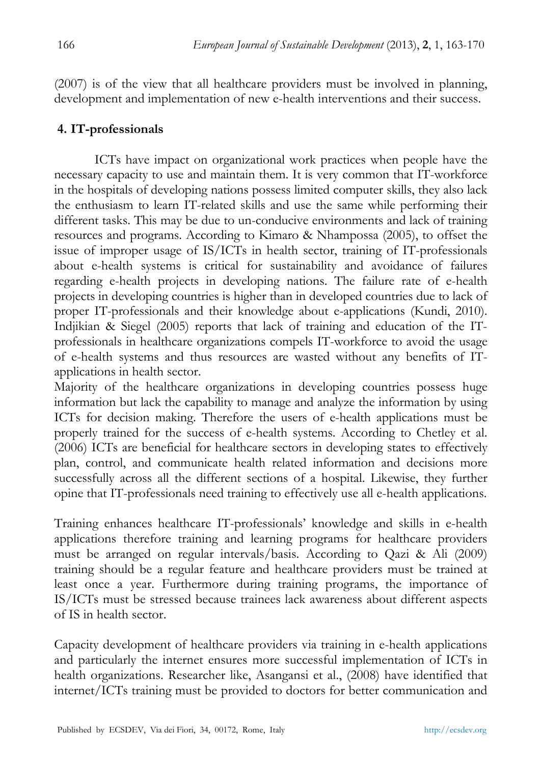(2007) is of the view that all healthcare providers must be involved in planning, development and implementation of new e-health interventions and their success.

## **4. IT-professionals**

ICTs have impact on organizational work practices when people have the necessary capacity to use and maintain them. It is very common that IT-workforce in the hospitals of developing nations possess limited computer skills, they also lack the enthusiasm to learn IT-related skills and use the same while performing their different tasks. This may be due to un-conducive environments and lack of training resources and programs. According to Kimaro & Nhampossa (2005), to offset the issue of improper usage of IS/ICTs in health sector, training of IT-professionals about e-health systems is critical for sustainability and avoidance of failures regarding e-health projects in developing nations. The failure rate of e-health projects in developing countries is higher than in developed countries due to lack of proper IT-professionals and their knowledge about e-applications (Kundi, 2010). Indjikian & Siegel (2005) reports that lack of training and education of the ITprofessionals in healthcare organizations compels IT-workforce to avoid the usage of e-health systems and thus resources are wasted without any benefits of ITapplications in health sector.

Majority of the healthcare organizations in developing countries possess huge information but lack the capability to manage and analyze the information by using ICTs for decision making. Therefore the users of e-health applications must be properly trained for the success of e-health systems. According to Chetley et al. (2006) ICTs are beneficial for healthcare sectors in developing states to effectively plan, control, and communicate health related information and decisions more successfully across all the different sections of a hospital. Likewise, they further opine that IT-professionals need training to effectively use all e-health applications.

Training enhances healthcare IT-professionals' knowledge and skills in e-health applications therefore training and learning programs for healthcare providers must be arranged on regular intervals/basis. According to Qazi & Ali (2009) training should be a regular feature and healthcare providers must be trained at least once a year. Furthermore during training programs, the importance of IS/ICTs must be stressed because trainees lack awareness about different aspects of IS in health sector.

Capacity development of healthcare providers via training in e-health applications and particularly the internet ensures more successful implementation of ICTs in health organizations. Researcher like, Asangansi et al., (2008) have identified that internet/ICTs training must be provided to doctors for better communication and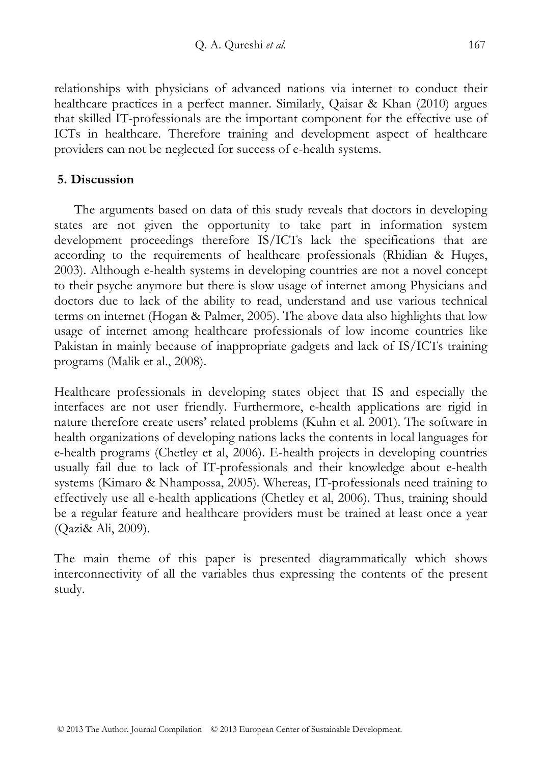relationships with physicians of advanced nations via internet to conduct their healthcare practices in a perfect manner. Similarly, Qaisar & Khan (2010) argues that skilled IT-professionals are the important component for the effective use of ICTs in healthcare. Therefore training and development aspect of healthcare providers can not be neglected for success of e-health systems.

### **5. Discussion**

The arguments based on data of this study reveals that doctors in developing states are not given the opportunity to take part in information system development proceedings therefore IS/ICTs lack the specifications that are according to the requirements of healthcare professionals (Rhidian & Huges, 2003). Although e-health systems in developing countries are not a novel concept to their psyche anymore but there is slow usage of internet among Physicians and doctors due to lack of the ability to read, understand and use various technical terms on internet (Hogan & Palmer, 2005). The above data also highlights that low usage of internet among healthcare professionals of low income countries like Pakistan in mainly because of inappropriate gadgets and lack of IS/ICTs training programs (Malik et al., 2008).

Healthcare professionals in developing states object that IS and especially the interfaces are not user friendly. Furthermore, e-health applications are rigid in nature therefore create users' related problems (Kuhn et al. 2001). The software in health organizations of developing nations lacks the contents in local languages for e-health programs (Chetley et al, 2006). E-health projects in developing countries usually fail due to lack of IT-professionals and their knowledge about e-health systems (Kimaro & Nhampossa, 2005). Whereas, IT-professionals need training to effectively use all e-health applications (Chetley et al, 2006). Thus, training should be a regular feature and healthcare providers must be trained at least once a year (Qazi& Ali, 2009).

The main theme of this paper is presented diagrammatically which shows interconnectivity of all the variables thus expressing the contents of the present study.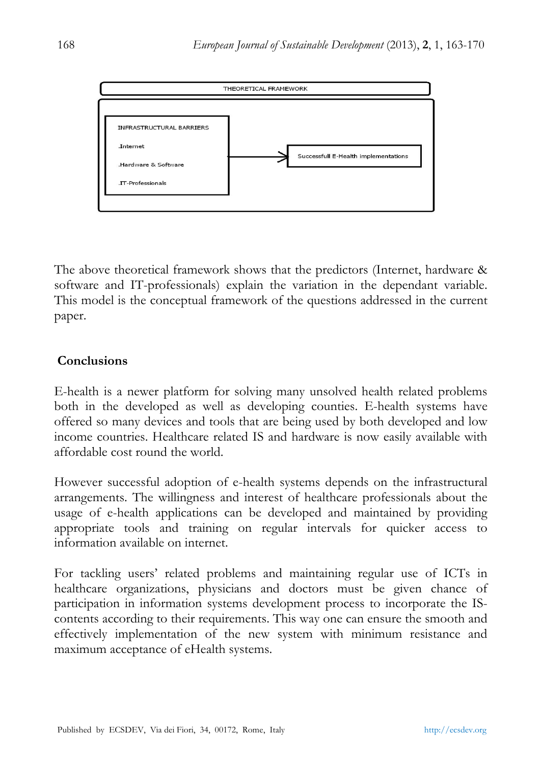

The above theoretical framework shows that the predictors (Internet, hardware & software and IT-professionals) explain the variation in the dependant variable. This model is the conceptual framework of the questions addressed in the current paper.

## **Conclusions**

E-health is a newer platform for solving many unsolved health related problems both in the developed as well as developing counties. E-health systems have offered so many devices and tools that are being used by both developed and low income countries. Healthcare related IS and hardware is now easily available with affordable cost round the world.

However successful adoption of e-health systems depends on the infrastructural arrangements. The willingness and interest of healthcare professionals about the usage of e-health applications can be developed and maintained by providing appropriate tools and training on regular intervals for quicker access to information available on internet.

For tackling users' related problems and maintaining regular use of ICTs in healthcare organizations, physicians and doctors must be given chance of participation in information systems development process to incorporate the IScontents according to their requirements. This way one can ensure the smooth and effectively implementation of the new system with minimum resistance and maximum acceptance of eHealth systems.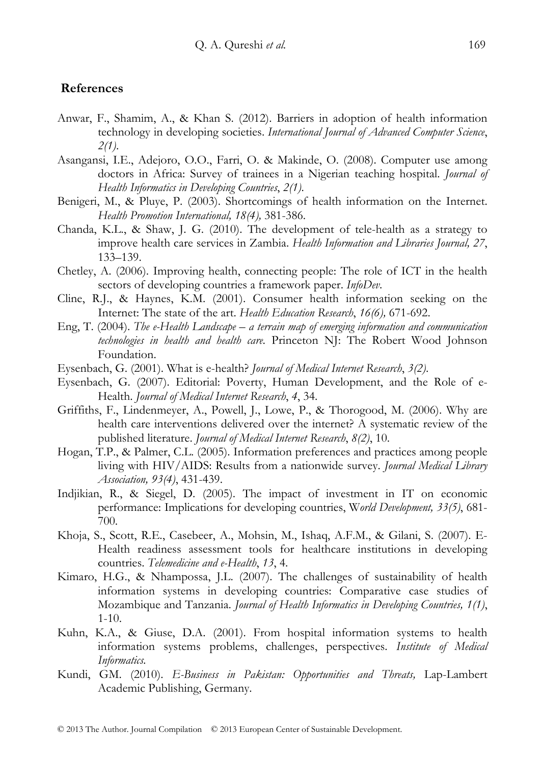#### **References**

- Anwar, F., Shamim, A., & Khan S. (2012). Barriers in adoption of health information technology in developing societies. *International Journal of Advanced Computer Science*, *2(1)*.
- Asangansi, I.E., Adejoro, O.O., Farri, O. & Makinde, O. (2008). Computer use among doctors in Africa: Survey of trainees in a Nigerian teaching hospital. *Journal of Health Informatics in Developing Countries*, *2(1)*.
- Benigeri, M., & Pluye, P. (2003). Shortcomings of health information on the Internet. *Health Promotion International, 18(4),* 381-386.
- Chanda, K.L., & Shaw, J. G. (2010). The development of tele-health as a strategy to improve health care services in Zambia. *Health Information and Libraries Journal, 27*, 133–139.
- Chetley, A. (2006). Improving health, connecting people: The role of ICT in the health sectors of developing countries a framework paper. *InfoDev*.
- Cline, R.J., & Haynes, K.M. (2001). Consumer health information seeking on the Internet: The state of the art. *Health Education Research*, *16(6),* 671-692.
- Eng, T. (2004). *The e-Health Landscape a terrain map of emerging information and communication technologies in health and health care.* Princeton NJ: The Robert Wood Johnson Foundation.
- Eysenbach, G. (2001). What is e-health? *Journal of Medical Internet Research*, *3(2)*.
- Eysenbach, G. (2007). Editorial: Poverty, Human Development, and the Role of e-Health. *Journal of Medical Internet Research*, *4*, 34.
- Griffiths, F., Lindenmeyer, A., Powell, J., Lowe, P., & Thorogood, M. (2006). Why are health care interventions delivered over the internet? A systematic review of the published literature. *Journal of Medical Internet Research*, *8(2)*, 10.
- Hogan, T.P., & Palmer, C.L. (2005). Information preferences and practices among people living with HIV/AIDS: Results from a nationwide survey. *Journal Medical Library Association, 93(4)*, 431-439.
- Indjikian, R., & Siegel, D. (2005). The impact of investment in IT on economic performance: Implications for developing countries, W*orld Development, 33(5)*, 681- 700.
- Khoja, S., Scott, R.E., Casebeer, A., Mohsin, M., Ishaq, A.F.M., & Gilani, S. (2007). E-Health readiness assessment tools for healthcare institutions in developing countries. *Telemedicine and e-Health*, *13*, 4.
- Kimaro, H.G., & Nhampossa, J.L. (2007). The challenges of sustainability of health information systems in developing countries: Comparative case studies of Mozambique and Tanzania. *Journal of Health Informatics in Developing Countries, 1(1)*, 1-10.
- Kuhn, K.A., & Giuse, D.A. (2001). From hospital information systems to health information systems problems, challenges, perspectives. *Institute of Medical Informatics.*
- Kundi, GM. (2010). *E-Business in Pakistan: Opportunities and Threats,* Lap-Lambert Academic Publishing, Germany.